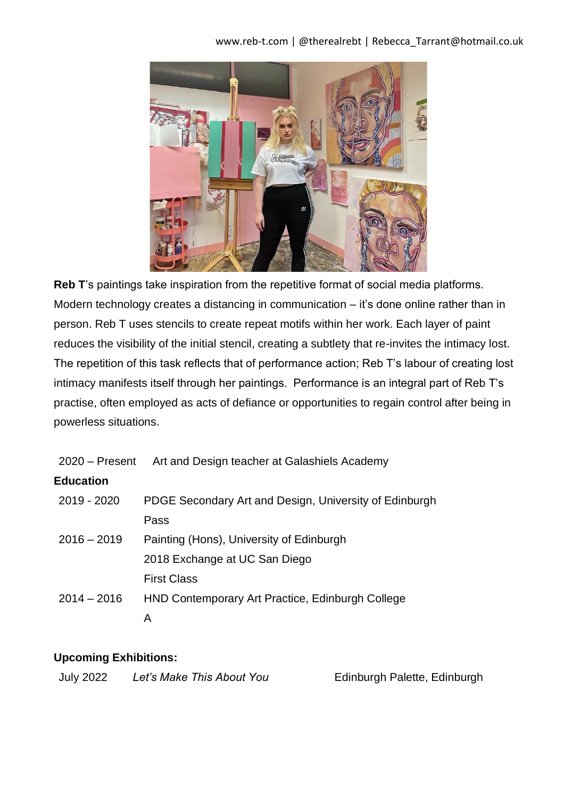#### www.reb-t.com | @therealrebt | Rebecca\_Tarrant@hotmail.co.uk



**Reb T**'s paintings take inspiration from the repetitive format of social media platforms. Modern technology creates a distancing in communication – it's done online rather than in person. Reb T uses stencils to create repeat motifs within her work. Each layer of paint reduces the visibility of the initial stencil, creating a subtlety that re-invites the intimacy lost. The repetition of this task reflects that of performance action; Reb T's labour of creating lost intimacy manifests itself through her paintings. Performance is an integral part of Reb T's practise, often employed as acts of defiance or opportunities to regain control after being in powerless situations.

| 2020 – Present Art and Design teacher at Galashiels Academy |  |
|-------------------------------------------------------------|--|
|                                                             |  |

### **Education**

| 2019 - 2020   | PDGE Secondary Art and Design, University of Edinburgh |
|---------------|--------------------------------------------------------|
|               | Pass                                                   |
| $2016 - 2019$ | Painting (Hons), University of Edinburgh               |
|               | 2018 Exchange at UC San Diego                          |
|               | <b>First Class</b>                                     |
| $2014 - 2016$ | HND Contemporary Art Practice, Edinburgh College       |
|               |                                                        |

### **Upcoming Exhibitions:**

| <b>July 2022</b> | Let's Make This About You |
|------------------|---------------------------|
|------------------|---------------------------|

**Edinburgh Palette, Edinburgh**